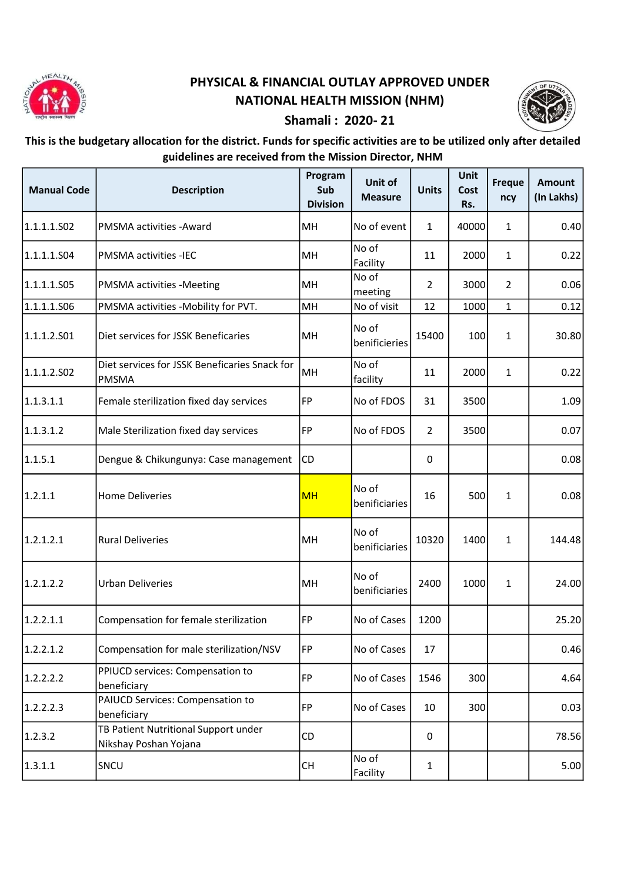

## PHYSICAL & FINANCIAL OUTLAY APPROVED UNDER NATIONAL HEALTH MISSION (NHM)



## Shamali : 2020- 21

## This is the budgetary allocation for the district. Funds for specific activities are to be utilized only after detailed guidelines are received from the Mission Director, NHM

| <b>Manual Code</b> | <b>Description</b>                                            | Program<br>Sub<br><b>Division</b> | Unit of<br><b>Measure</b> | <b>Units</b>   | Unit<br>Cost<br>Rs. | <b>Freque</b><br>ncy | <b>Amount</b><br>(In Lakhs) |
|--------------------|---------------------------------------------------------------|-----------------------------------|---------------------------|----------------|---------------------|----------------------|-----------------------------|
| 1.1.1.1.502        | PMSMA activities - Award                                      | MH                                | No of event               | $\mathbf{1}$   | 40000               | $\mathbf{1}$         | 0.40                        |
| 1.1.1.1.504        | PMSMA activities -IEC                                         | MH                                | No of<br>Facility         | 11             | 2000                | $\mathbf{1}$         | 0.22                        |
| 1.1.1.1.S05        | PMSMA activities -Meeting                                     | MH                                | No of<br>meeting          | 2              | 3000                | $\overline{2}$       | 0.06                        |
| 1.1.1.1.506        | PMSMA activities -Mobility for PVT.                           | MH                                | No of visit               | 12             | 1000                | $\mathbf{1}$         | 0.12                        |
| 1.1.1.2.501        | Diet services for JSSK Beneficaries                           | MH                                | No of<br>benificieries    | 15400          | 100                 | $\mathbf{1}$         | 30.80                       |
| 1.1.1.2.502        | Diet services for JSSK Beneficaries Snack for<br><b>PMSMA</b> | MH                                | No of<br>facility         | 11             | 2000                | $\mathbf{1}$         | 0.22                        |
| 1.1.3.1.1          | Female sterilization fixed day services                       | <b>FP</b>                         | No of FDOS                | 31             | 3500                |                      | 1.09                        |
| 1.1.3.1.2          | Male Sterilization fixed day services                         | FP                                | No of FDOS                | $\overline{2}$ | 3500                |                      | 0.07                        |
| 1.1.5.1            | Dengue & Chikungunya: Case management                         | CD                                |                           | 0              |                     |                      | 0.08                        |
| 1.2.1.1            | <b>Home Deliveries</b>                                        | <b>MH</b>                         | No of<br>benificiaries    | 16             | 500                 | $\mathbf{1}$         | 0.08                        |
| 1.2.1.2.1          | <b>Rural Deliveries</b>                                       | MH                                | No of<br>benificiaries    | 10320          | 1400                | $\mathbf{1}$         | 144.48                      |
| 1.2.1.2.2          | <b>Urban Deliveries</b>                                       | MH                                | No of<br>benificiaries    | 2400           | 1000                | $\mathbf{1}$         | 24.00                       |
| 1.2.2.1.1          | Compensation for female sterilization                         | <b>FP</b>                         | No of Cases               | 1200           |                     |                      | 25.20                       |
| 1.2.2.1.2          | Compensation for male sterilization/NSV                       | FP                                | No of Cases               | 17             |                     |                      | 0.46                        |
| 1.2.2.2.2          | PPIUCD services: Compensation to<br>beneficiary               | <b>FP</b>                         | No of Cases               | 1546           | 300                 |                      | 4.64                        |
| 1.2.2.2.3          | PAIUCD Services: Compensation to<br>beneficiary               | <b>FP</b>                         | No of Cases               | 10             | 300                 |                      | 0.03                        |
| 1.2.3.2            | TB Patient Nutritional Support under<br>Nikshay Poshan Yojana | CD                                |                           | $\mathbf 0$    |                     |                      | 78.56                       |
| 1.3.1.1            | SNCU                                                          | CH                                | No of<br>Facility         | 1              |                     |                      | 5.00                        |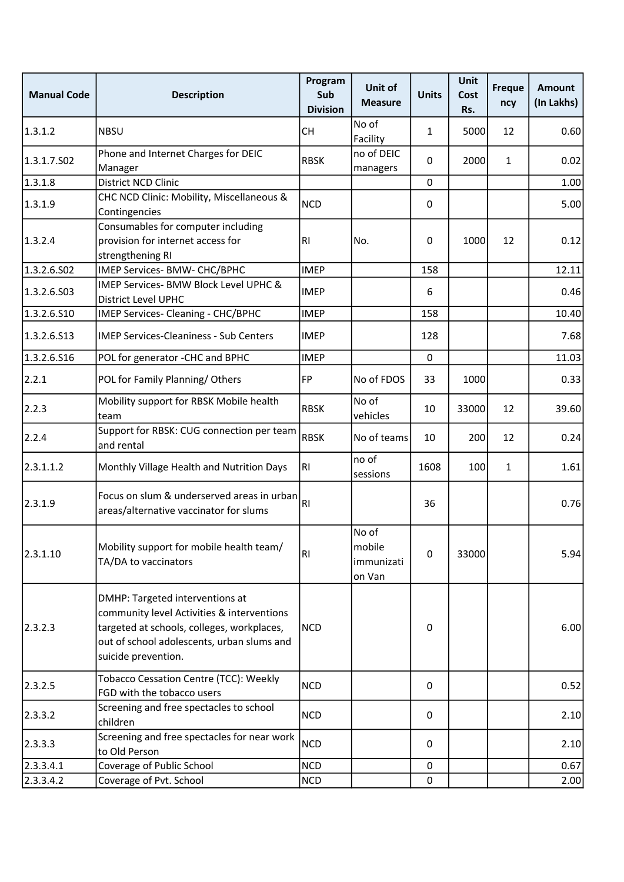| <b>Manual Code</b> | <b>Description</b>                                                                                                                                                                               | Program<br>Sub<br><b>Division</b> | Unit of<br><b>Measure</b>               | <b>Units</b> | <b>Unit</b><br>Cost<br>Rs. | <b>Freque</b><br>ncy | <b>Amount</b><br>(In Lakhs) |
|--------------------|--------------------------------------------------------------------------------------------------------------------------------------------------------------------------------------------------|-----------------------------------|-----------------------------------------|--------------|----------------------------|----------------------|-----------------------------|
| 1.3.1.2            | <b>NBSU</b>                                                                                                                                                                                      | <b>CH</b>                         | No of<br>Facility                       | $\mathbf{1}$ | 5000                       | 12                   | 0.60                        |
| 1.3.1.7.S02        | Phone and Internet Charges for DEIC<br>Manager                                                                                                                                                   | <b>RBSK</b>                       | no of DEIC<br>managers                  | 0            | 2000                       | $\mathbf{1}$         | 0.02                        |
| 1.3.1.8            | <b>District NCD Clinic</b>                                                                                                                                                                       |                                   |                                         | 0            |                            |                      | 1.00                        |
| 1.3.1.9            | CHC NCD Clinic: Mobility, Miscellaneous &<br>Contingencies                                                                                                                                       | <b>NCD</b>                        |                                         | 0            |                            |                      | 5.00                        |
| 1.3.2.4            | Consumables for computer including<br>provision for internet access for<br>strengthening RI                                                                                                      | RI                                | No.                                     | 0            | 1000                       | 12                   | 0.12                        |
| 1.3.2.6.S02        | IMEP Services- BMW- CHC/BPHC                                                                                                                                                                     | <b>IMEP</b>                       |                                         | 158          |                            |                      | 12.11                       |
| 1.3.2.6.503        | IMEP Services- BMW Block Level UPHC &<br><b>District Level UPHC</b>                                                                                                                              | <b>IMEP</b>                       |                                         | 6            |                            |                      | 0.46                        |
| 1.3.2.6.S10        | IMEP Services- Cleaning - CHC/BPHC                                                                                                                                                               | <b>IMEP</b>                       |                                         | 158          |                            |                      | 10.40                       |
| 1.3.2.6.513        | <b>IMEP Services-Cleaniness - Sub Centers</b>                                                                                                                                                    | <b>IMEP</b>                       |                                         | 128          |                            |                      | 7.68                        |
| 1.3.2.6.516        | POL for generator - CHC and BPHC                                                                                                                                                                 | <b>IMEP</b>                       |                                         | $\mathbf 0$  |                            |                      | 11.03                       |
| 2.2.1              | POL for Family Planning/Others                                                                                                                                                                   | FP                                | No of FDOS                              | 33           | 1000                       |                      | 0.33                        |
| 2.2.3              | Mobility support for RBSK Mobile health<br>team                                                                                                                                                  | <b>RBSK</b>                       | No of<br>vehicles                       | 10           | 33000                      | 12                   | 39.60                       |
| 2.2.4              | Support for RBSK: CUG connection per team<br>and rental                                                                                                                                          | <b>RBSK</b>                       | No of teams                             | 10           | 200                        | 12                   | 0.24                        |
| 2.3.1.1.2          | Monthly Village Health and Nutrition Days                                                                                                                                                        | R <sub>1</sub>                    | no of<br>sessions                       | 1608         | 100                        | $\mathbf{1}$         | 1.61                        |
| 2.3.1.9            | Focus on slum & underserved areas in urban<br>areas/alternative vaccinator for slums                                                                                                             | R1                                |                                         | 36           |                            |                      | 0.76                        |
| 2.3.1.10           | Mobility support for mobile health team/<br>TA/DA to vaccinators                                                                                                                                 | R <sub>1</sub>                    | No of<br>mobile<br>immunizati<br>on Van | $\pmb{0}$    | 33000                      |                      | 5.94                        |
| 2.3.2.3            | DMHP: Targeted interventions at<br>community level Activities & interventions<br>targeted at schools, colleges, workplaces,<br>out of school adolescents, urban slums and<br>suicide prevention. | <b>NCD</b>                        |                                         | 0            |                            |                      | 6.00                        |
| 2.3.2.5            | Tobacco Cessation Centre (TCC): Weekly<br>FGD with the tobacco users                                                                                                                             | <b>NCD</b>                        |                                         | 0            |                            |                      | 0.52                        |
| 2.3.3.2            | Screening and free spectacles to school<br>children                                                                                                                                              | <b>NCD</b>                        |                                         | $\pmb{0}$    |                            |                      | 2.10                        |
| 2.3.3.3            | Screening and free spectacles for near work<br>to Old Person                                                                                                                                     | <b>NCD</b>                        |                                         | 0            |                            |                      | 2.10                        |
| 2.3.3.4.1          | Coverage of Public School                                                                                                                                                                        | <b>NCD</b>                        |                                         | 0            |                            |                      | 0.67                        |
| 2.3.3.4.2          | Coverage of Pvt. School                                                                                                                                                                          | NCD                               |                                         | 0            |                            |                      | 2.00                        |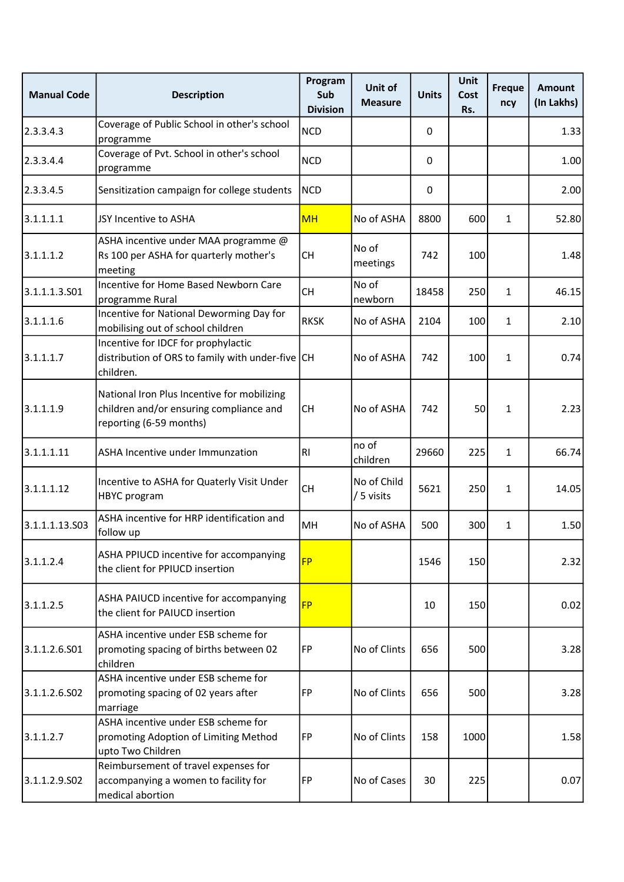| <b>Manual Code</b> | <b>Description</b>                                                                                                | Program<br>Sub<br><b>Division</b> | Unit of<br><b>Measure</b> | <b>Units</b> | <b>Unit</b><br>Cost<br>Rs. | <b>Freque</b><br>ncy | <b>Amount</b><br>(In Lakhs) |
|--------------------|-------------------------------------------------------------------------------------------------------------------|-----------------------------------|---------------------------|--------------|----------------------------|----------------------|-----------------------------|
| 2.3.3.4.3          | Coverage of Public School in other's school<br>programme                                                          | <b>NCD</b>                        |                           | 0            |                            |                      | 1.33                        |
| 2.3.3.4.4          | Coverage of Pvt. School in other's school<br>programme                                                            | <b>NCD</b>                        |                           | 0            |                            |                      | 1.00                        |
| 2.3.3.4.5          | Sensitization campaign for college students                                                                       | <b>NCD</b>                        |                           | 0            |                            |                      | 2.00                        |
| 3.1.1.1.1          | JSY Incentive to ASHA                                                                                             | <b>MH</b>                         | No of ASHA                | 8800         | 600                        | 1                    | 52.80                       |
| 3.1.1.1.2          | ASHA incentive under MAA programme @<br>Rs 100 per ASHA for quarterly mother's<br>meeting                         | <b>CH</b>                         | No of<br>meetings         | 742          | 100                        |                      | 1.48                        |
| 3.1.1.1.3.501      | Incentive for Home Based Newborn Care<br>programme Rural                                                          | <b>CH</b>                         | No of<br>newborn          | 18458        | 250                        | $\mathbf{1}$         | 46.15                       |
| 3.1.1.1.6          | Incentive for National Deworming Day for<br>mobilising out of school children                                     | <b>RKSK</b>                       | No of ASHA                | 2104         | 100                        | $\mathbf{1}$         | 2.10                        |
| 3.1.1.1.7          | Incentive for IDCF for prophylactic<br>distribution of ORS to family with under-five CH<br>children.              |                                   | No of ASHA                | 742          | 100                        | $\mathbf{1}$         | 0.74                        |
| 3.1.1.1.9          | National Iron Plus Incentive for mobilizing<br>children and/or ensuring compliance and<br>reporting (6-59 months) | <b>CH</b>                         | No of ASHA                | 742          | 50                         | $\mathbf{1}$         | 2.23                        |
| 3.1.1.1.11         | ASHA Incentive under Immunzation                                                                                  | R <sub>l</sub>                    | no of<br>children         | 29660        | 225                        | $\mathbf{1}$         | 66.74                       |
| 3.1.1.1.12         | Incentive to ASHA for Quaterly Visit Under<br><b>HBYC</b> program                                                 | <b>CH</b>                         | No of Child<br>/ 5 visits | 5621         | 250                        | $\mathbf{1}$         | 14.05                       |
| 3.1.1.1.13.503     | ASHA incentive for HRP identification and<br>follow up                                                            | MH                                | No of ASHA                | 500          | 300                        | $\mathbf{1}$         | 1.50                        |
| 3.1.1.2.4          | ASHA PPIUCD incentive for accompanying<br>the client for PPIUCD insertion                                         | <b>FP</b>                         |                           | 1546         | 150                        |                      | 2.32                        |
| 3.1.1.2.5          | ASHA PAIUCD incentive for accompanying<br>the client for PAIUCD insertion                                         | <b>FP</b>                         |                           | 10           | 150                        |                      | 0.02                        |
| 3.1.1.2.6.S01      | ASHA incentive under ESB scheme for<br>promoting spacing of births between 02<br>children                         | FP                                | No of Clints              | 656          | 500                        |                      | 3.28                        |
| 3.1.1.2.6.502      | ASHA incentive under ESB scheme for<br>promoting spacing of 02 years after<br>marriage                            | FP                                | No of Clints              | 656          | 500                        |                      | 3.28                        |
| 3.1.1.2.7          | ASHA incentive under ESB scheme for<br>promoting Adoption of Limiting Method<br>upto Two Children                 | <b>FP</b>                         | No of Clints              | 158          | 1000                       |                      | 1.58                        |
| 3.1.1.2.9.502      | Reimbursement of travel expenses for<br>accompanying a women to facility for<br>medical abortion                  | FP                                | No of Cases               | 30           | 225                        |                      | 0.07                        |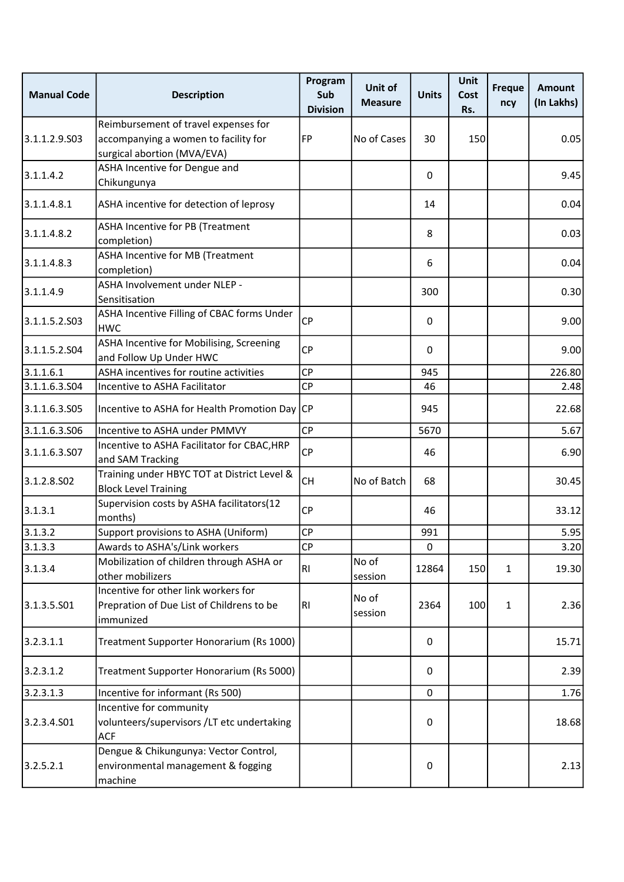| <b>Manual Code</b> | <b>Description</b>                                                                                          | Program<br>Sub<br><b>Division</b> | Unit of<br><b>Measure</b> | <b>Units</b> | <b>Unit</b><br>Cost<br>Rs. | <b>Freque</b><br>ncy | <b>Amount</b><br>(In Lakhs) |
|--------------------|-------------------------------------------------------------------------------------------------------------|-----------------------------------|---------------------------|--------------|----------------------------|----------------------|-----------------------------|
| 3.1.1.2.9.503      | Reimbursement of travel expenses for<br>accompanying a women to facility for<br>surgical abortion (MVA/EVA) | FP                                | No of Cases               | 30           | 150                        |                      | 0.05                        |
| 3.1.1.4.2          | ASHA Incentive for Dengue and<br>Chikungunya                                                                |                                   |                           | 0            |                            |                      | 9.45                        |
| 3.1.1.4.8.1        | ASHA incentive for detection of leprosy                                                                     |                                   |                           | 14           |                            |                      | 0.04                        |
| 3.1.1.4.8.2        | ASHA Incentive for PB (Treatment<br>completion)                                                             |                                   |                           | 8            |                            |                      | 0.03                        |
| 3.1.1.4.8.3        | <b>ASHA Incentive for MB (Treatment</b><br>completion)                                                      |                                   |                           | 6            |                            |                      | 0.04                        |
| 3.1.1.4.9          | ASHA Involvement under NLEP -<br>Sensitisation                                                              |                                   |                           | 300          |                            |                      | 0.30                        |
| 3.1.1.5.2.503      | ASHA Incentive Filling of CBAC forms Under<br><b>HWC</b>                                                    | <b>CP</b>                         |                           | 0            |                            |                      | 9.00                        |
| 3.1.1.5.2.504      | ASHA Incentive for Mobilising, Screening<br>and Follow Up Under HWC                                         | <b>CP</b>                         |                           | 0            |                            |                      | 9.00                        |
| 3.1.1.6.1          | ASHA incentives for routine activities                                                                      | <b>CP</b>                         |                           | 945          |                            |                      | 226.80                      |
| 3.1.1.6.3.S04      | Incentive to ASHA Facilitator                                                                               | <b>CP</b>                         |                           | 46           |                            |                      | 2.48                        |
| 3.1.1.6.3.S05      | Incentive to ASHA for Health Promotion Day CP                                                               |                                   |                           | 945          |                            |                      | 22.68                       |
| 3.1.1.6.3.506      | Incentive to ASHA under PMMVY                                                                               | <b>CP</b>                         |                           | 5670         |                            |                      | 5.67                        |
| 3.1.1.6.3.507      | Incentive to ASHA Facilitator for CBAC, HRP<br>and SAM Tracking                                             | <b>CP</b>                         |                           | 46           |                            |                      | 6.90                        |
| 3.1.2.8.502        | Training under HBYC TOT at District Level &<br><b>Block Level Training</b>                                  | <b>CH</b>                         | No of Batch               | 68           |                            |                      | 30.45                       |
| 3.1.3.1            | Supervision costs by ASHA facilitators(12<br>months)                                                        | <b>CP</b>                         |                           | 46           |                            |                      | 33.12                       |
| 3.1.3.2            | Support provisions to ASHA (Uniform)                                                                        | <b>CP</b>                         |                           | 991          |                            |                      | 5.95                        |
| 3.1.3.3            | Awards to ASHA's/Link workers                                                                               | CP                                |                           | 0            |                            |                      | 3.20                        |
| 3.1.3.4            | Mobilization of children through ASHA or<br>other mobilizers                                                | <b>RI</b>                         | No of<br>session          | 12864        | 150                        | 1                    | 19.30                       |
| 3.1.3.5.501        | Incentive for other link workers for<br>Prepration of Due List of Childrens to be<br>immunized              | R1                                | No of<br>session          | 2364         | 100                        | $\mathbf{1}$         | 2.36                        |
| 3.2.3.1.1          | Treatment Supporter Honorarium (Rs 1000)                                                                    |                                   |                           | 0            |                            |                      | 15.71                       |
| 3.2.3.1.2          | Treatment Supporter Honorarium (Rs 5000)                                                                    |                                   |                           | 0            |                            |                      | 2.39                        |
| 3.2.3.1.3          | Incentive for informant (Rs 500)                                                                            |                                   |                           | $\mathbf 0$  |                            |                      | 1.76                        |
| 3.2.3.4.501        | Incentive for community<br>volunteers/supervisors /LT etc undertaking<br><b>ACF</b>                         |                                   |                           | 0            |                            |                      | 18.68                       |
| 3.2.5.2.1          | Dengue & Chikungunya: Vector Control,<br>environmental management & fogging<br>machine                      |                                   |                           | 0            |                            |                      | 2.13                        |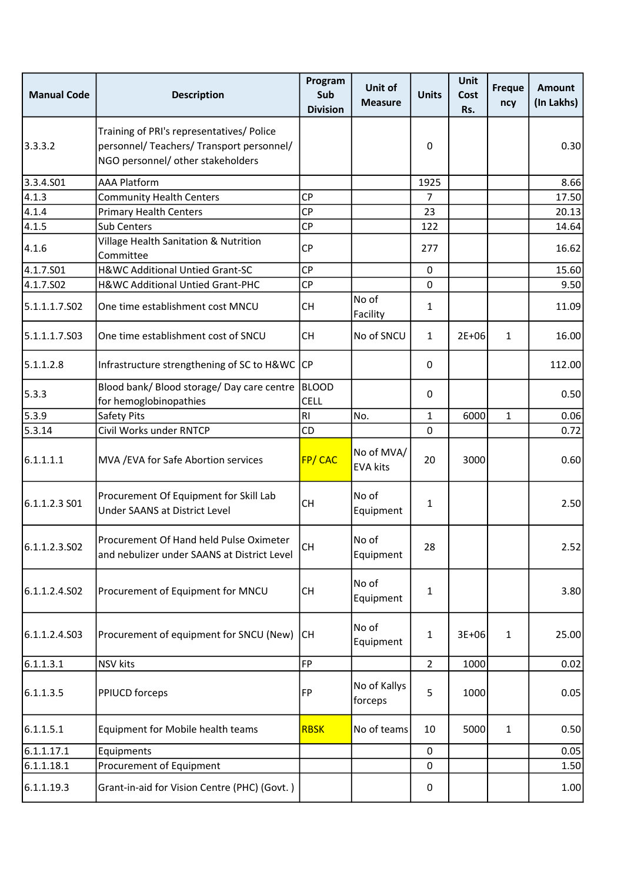| <b>Manual Code</b> | <b>Description</b>                                                                                                          | Program<br>Sub<br><b>Division</b> | Unit of<br><b>Measure</b>     | <b>Units</b>   | <b>Unit</b><br>Cost<br>Rs. | <b>Freque</b><br>ncy | <b>Amount</b><br>(In Lakhs) |
|--------------------|-----------------------------------------------------------------------------------------------------------------------------|-----------------------------------|-------------------------------|----------------|----------------------------|----------------------|-----------------------------|
| 3.3.3.2            | Training of PRI's representatives/ Police<br>personnel/ Teachers/ Transport personnel/<br>NGO personnel/ other stakeholders |                                   |                               | 0              |                            |                      | 0.30                        |
| 3.3.4.501          | <b>AAA Platform</b>                                                                                                         |                                   |                               | 1925           |                            |                      | 8.66                        |
| 4.1.3              | <b>Community Health Centers</b>                                                                                             | <b>CP</b>                         |                               | 7              |                            |                      | 17.50                       |
| 4.1.4              | <b>Primary Health Centers</b>                                                                                               | <b>CP</b>                         |                               | 23             |                            |                      | 20.13                       |
| 4.1.5              | Sub Centers                                                                                                                 | <b>CP</b>                         |                               | 122            |                            |                      | 14.64                       |
| 4.1.6              | Village Health Sanitation & Nutrition<br>Committee                                                                          | <b>CP</b>                         |                               | 277            |                            |                      | 16.62                       |
| 4.1.7.501          | H&WC Additional Untied Grant-SC                                                                                             | <b>CP</b>                         |                               | 0              |                            |                      | 15.60                       |
| 4.1.7.502          | H&WC Additional Untied Grant-PHC                                                                                            | <b>CP</b>                         |                               | 0              |                            |                      | 9.50                        |
| 5.1.1.1.7.S02      | One time establishment cost MNCU                                                                                            | <b>CH</b>                         | No of<br>Facility             | 1              |                            |                      | 11.09                       |
| 5.1.1.1.7.S03      | One time establishment cost of SNCU                                                                                         | <b>CH</b>                         | No of SNCU                    | $\mathbf{1}$   | $2E + 06$                  | $\mathbf{1}$         | 16.00                       |
| 5.1.1.2.8          | Infrastructure strengthening of SC to H&WC CP                                                                               |                                   |                               | 0              |                            |                      | 112.00                      |
| 5.3.3              | Blood bank/ Blood storage/ Day care centre<br>for hemoglobinopathies                                                        | BLOOD<br><b>CELL</b>              |                               | 0              |                            |                      | 0.50                        |
| 5.3.9              | Safety Pits                                                                                                                 | R <sub>1</sub>                    | No.                           | $\mathbf{1}$   | 6000                       | $\mathbf{1}$         | 0.06                        |
| 5.3.14             | Civil Works under RNTCP                                                                                                     | CD                                |                               | 0              |                            |                      | 0.72                        |
| 6.1.1.1.1          | MVA / EVA for Safe Abortion services                                                                                        | FP/CAC                            | No of MVA/<br><b>EVA kits</b> | 20             | 3000                       |                      | 0.60                        |
| 6.1.1.2.3 S01      | Procurement Of Equipment for Skill Lab<br>Under SAANS at District Level                                                     | <b>CH</b>                         | No of<br>Equipment            | 1              |                            |                      | 2.50                        |
| 6.1.1.2.3.502      | Procurement Of Hand held Pulse Oximeter<br>and nebulizer under SAANS at District Level                                      | <b>CH</b>                         | No of<br>Equipment            | 28             |                            |                      | 2.52                        |
| 6.1.1.2.4.S02      | Procurement of Equipment for MNCU                                                                                           | <b>CH</b>                         | No of<br>Equipment            | 1              |                            |                      | 3.80                        |
| 6.1.1.2.4.503      | Procurement of equipment for SNCU (New)                                                                                     | <b>ICH</b>                        | No of<br>Equipment            | 1              | $3E + 06$                  | $\mathbf{1}$         | 25.00                       |
| 6.1.1.3.1          | <b>NSV</b> kits                                                                                                             | <b>FP</b>                         |                               | $\overline{2}$ | 1000                       |                      | 0.02                        |
| 6.1.1.3.5          | PPIUCD forceps                                                                                                              | FP                                | No of Kallys<br>forceps       | 5              | 1000                       |                      | 0.05                        |
| 6.1.1.5.1          | Equipment for Mobile health teams                                                                                           | <b>RBSK</b>                       | No of teams                   | 10             | 5000                       | $\mathbf{1}$         | 0.50                        |
| 6.1.1.17.1         | Equipments                                                                                                                  |                                   |                               | 0              |                            |                      | 0.05                        |
| 6.1.1.18.1         | Procurement of Equipment                                                                                                    |                                   |                               | 0              |                            |                      | 1.50                        |
| 6.1.1.19.3         | Grant-in-aid for Vision Centre (PHC) (Govt.)                                                                                |                                   |                               | 0              |                            |                      | 1.00                        |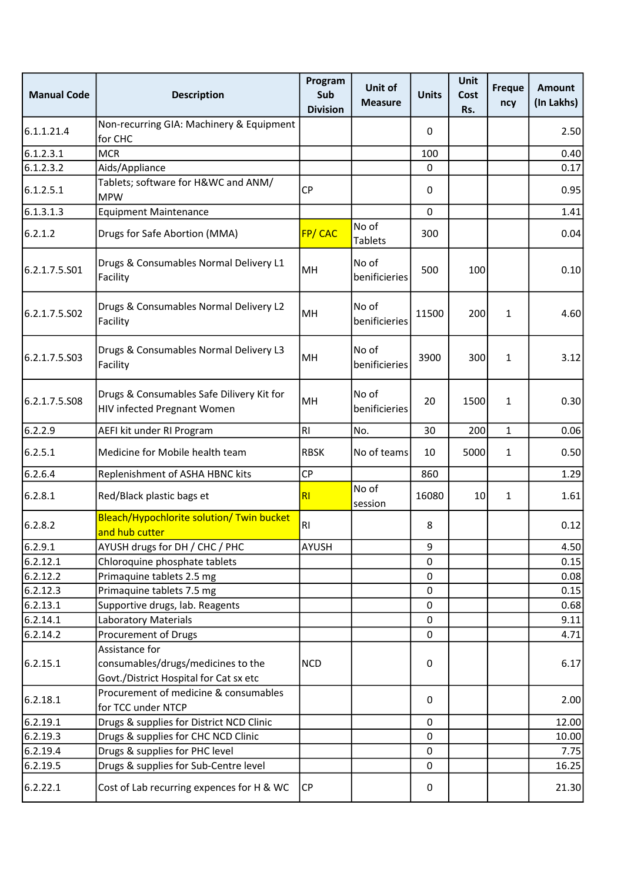| <b>Manual Code</b> | <b>Description</b>                                                                             | Program<br>Sub<br><b>Division</b> | Unit of<br><b>Measure</b> | <b>Units</b> | Unit<br>Cost<br>Rs. | <b>Freque</b><br>ncy | <b>Amount</b><br>(In Lakhs) |
|--------------------|------------------------------------------------------------------------------------------------|-----------------------------------|---------------------------|--------------|---------------------|----------------------|-----------------------------|
| 6.1.1.21.4         | Non-recurring GIA: Machinery & Equipment<br>for CHC                                            |                                   |                           | 0            |                     |                      | 2.50                        |
| 6.1.2.3.1          | <b>MCR</b>                                                                                     |                                   |                           | 100          |                     |                      | 0.40                        |
| 6.1.2.3.2          | Aids/Appliance                                                                                 |                                   |                           | 0            |                     |                      | 0.17                        |
| 6.1.2.5.1          | Tablets; software for H&WC and ANM/<br><b>MPW</b>                                              | <b>CP</b>                         |                           | 0            |                     |                      | 0.95                        |
| 6.1.3.1.3          | <b>Equipment Maintenance</b>                                                                   |                                   |                           | 0            |                     |                      | 1.41                        |
| 6.2.1.2            | Drugs for Safe Abortion (MMA)                                                                  | FP/CAC                            | No of<br><b>Tablets</b>   | 300          |                     |                      | 0.04                        |
| 6.2.1.7.5.S01      | Drugs & Consumables Normal Delivery L1<br>Facility                                             | MH                                | No of<br>benificieries    | 500          | 100                 |                      | 0.10                        |
| 6.2.1.7.5.S02      | Drugs & Consumables Normal Delivery L2<br>Facility                                             | MH                                | No of<br>benificieries    | 11500        | 200                 | $\mathbf{1}$         | 4.60                        |
| 6.2.1.7.5.503      | Drugs & Consumables Normal Delivery L3<br>Facility                                             | MH                                | No of<br>benificieries    | 3900         | 300                 | $\mathbf{1}$         | 3.12                        |
| 6.2.1.7.5.508      | Drugs & Consumables Safe Dilivery Kit for<br>HIV infected Pregnant Women                       | <b>MH</b>                         | No of<br>benificieries    | 20           | 1500                | $\mathbf{1}$         | 0.30                        |
| 6.2.2.9            | AEFI kit under RI Program                                                                      | R <sub>l</sub>                    | No.                       | 30           | 200                 | $\mathbf{1}$         | 0.06                        |
| 6.2.5.1            | Medicine for Mobile health team                                                                | <b>RBSK</b>                       | No of teams               | 10           | 5000                | $\mathbf{1}$         | 0.50                        |
| 6.2.6.4            | Replenishment of ASHA HBNC kits                                                                | <b>CP</b>                         |                           | 860          |                     |                      | 1.29                        |
| 6.2.8.1            | Red/Black plastic bags et                                                                      | RI                                | No of<br>session          | 16080        | 10                  | $\mathbf{1}$         | 1.61                        |
| 6.2.8.2            | Bleach/Hypochlorite solution/ Twin bucket<br>and hub cutter                                    | R <sub>l</sub>                    |                           | 8            |                     |                      | 0.12                        |
| 6.2.9.1            | AYUSH drugs for DH / CHC / PHC                                                                 | <b>AYUSH</b>                      |                           | 9            |                     |                      | 4.50                        |
| 6.2.12.1           | Chloroquine phosphate tablets                                                                  |                                   |                           | 0            |                     |                      | 0.15                        |
| 6.2.12.2           | Primaquine tablets 2.5 mg                                                                      |                                   |                           | 0            |                     |                      | 0.08                        |
| 6.2.12.3           | Primaquine tablets 7.5 mg                                                                      |                                   |                           | 0            |                     |                      | 0.15                        |
| 6.2.13.1           | Supportive drugs, lab. Reagents                                                                |                                   |                           | 0            |                     |                      | 0.68                        |
| 6.2.14.1           | <b>Laboratory Materials</b>                                                                    |                                   |                           | 0            |                     |                      | 9.11                        |
| 6.2.14.2           | Procurement of Drugs                                                                           |                                   |                           | 0            |                     |                      | 4.71                        |
| 6.2.15.1           | Assistance for<br>consumables/drugs/medicines to the<br>Govt./District Hospital for Cat sx etc | <b>NCD</b>                        |                           | 0            |                     |                      | 6.17                        |
| 6.2.18.1           | Procurement of medicine & consumables<br>for TCC under NTCP                                    |                                   |                           | 0            |                     |                      | 2.00                        |
| 6.2.19.1           | Drugs & supplies for District NCD Clinic                                                       |                                   |                           | 0            |                     |                      | 12.00                       |
| 6.2.19.3           | Drugs & supplies for CHC NCD Clinic                                                            |                                   |                           | 0            |                     |                      | 10.00                       |
| 6.2.19.4           | Drugs & supplies for PHC level                                                                 |                                   |                           | 0            |                     |                      | 7.75                        |
| 6.2.19.5           | Drugs & supplies for Sub-Centre level                                                          |                                   |                           | 0            |                     |                      | 16.25                       |
| 6.2.22.1           | Cost of Lab recurring expences for H & WC                                                      | <b>CP</b>                         |                           | 0            |                     |                      | 21.30                       |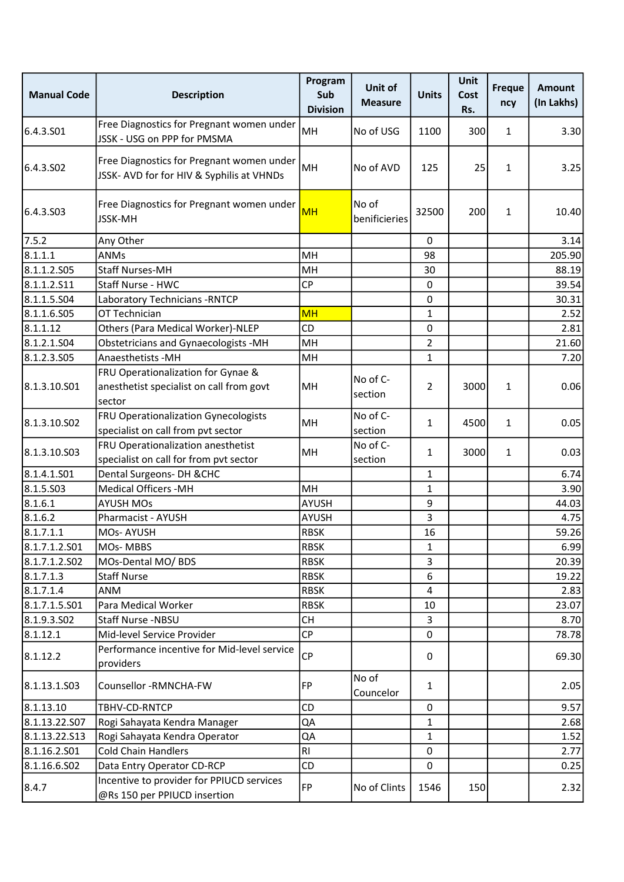| <b>Manual Code</b>    | <b>Description</b>                                                                     | Program<br>Sub<br><b>Division</b> | Unit of<br><b>Measure</b> | <b>Units</b>   | Unit<br>Cost<br>Rs. | <b>Freque</b><br>ncy | <b>Amount</b><br>(In Lakhs) |
|-----------------------|----------------------------------------------------------------------------------------|-----------------------------------|---------------------------|----------------|---------------------|----------------------|-----------------------------|
| 6.4.3.S01             | Free Diagnostics for Pregnant women under<br>JSSK - USG on PPP for PMSMA               | MH                                | No of USG                 | 1100           | 300                 | $\mathbf{1}$         | 3.30                        |
| 6.4.3.SO <sub>2</sub> | Free Diagnostics for Pregnant women under<br>JSSK- AVD for for HIV & Syphilis at VHNDs | MH                                | No of AVD                 | 125            | 25                  | $\mathbf{1}$         | 3.25                        |
| 6.4.3.S03             | Free Diagnostics for Pregnant women under<br><b>JSSK-MH</b>                            | <b>MH</b>                         | No of<br>benificieries    | 32500          | 200                 | $\mathbf{1}$         | 10.40                       |
| 7.5.2                 | Any Other                                                                              |                                   |                           | $\mathbf{0}$   |                     |                      | 3.14                        |
| 8.1.1.1               | <b>ANMs</b>                                                                            | MH                                |                           | 98             |                     |                      | 205.90                      |
| 8.1.1.2.505           | <b>Staff Nurses-MH</b>                                                                 | MH                                |                           | 30             |                     |                      | 88.19                       |
| 8.1.1.2.511           | Staff Nurse - HWC                                                                      | <b>CP</b>                         |                           | 0              |                     |                      | 39.54                       |
| 8.1.1.5.504           | Laboratory Technicians - RNTCP                                                         |                                   |                           | 0              |                     |                      | 30.31                       |
| 8.1.1.6.S05           | OT Technician                                                                          | <b>MH</b>                         |                           | $\mathbf{1}$   |                     |                      | 2.52                        |
| 8.1.1.12              | Others (Para Medical Worker)-NLEP                                                      | <b>CD</b>                         |                           | $\mathbf 0$    |                     |                      | 2.81                        |
| 8.1.2.1.504           | <b>Obstetricians and Gynaecologists -MH</b>                                            | MH                                |                           | $\overline{2}$ |                     |                      | 21.60                       |
| 8.1.2.3.505           | Anaesthetists - MH                                                                     | MH                                |                           | $\mathbf{1}$   |                     |                      | 7.20                        |
|                       | FRU Operationalization for Gynae &                                                     |                                   |                           |                |                     |                      |                             |
| 8.1.3.10.S01          | anesthetist specialist on call from govt                                               | MH                                | No of C-                  | $\overline{2}$ | 3000                | $\mathbf{1}$         | 0.06                        |
|                       | sector                                                                                 |                                   | section                   |                |                     |                      |                             |
|                       | <b>FRU Operationalization Gynecologists</b>                                            |                                   | No of C-                  |                |                     |                      |                             |
| 8.1.3.10.S02          | specialist on call from pvt sector                                                     | MH                                | section                   | $\mathbf{1}$   | 4500                | $\mathbf{1}$         | 0.05                        |
| 8.1.3.10.S03          | FRU Operationalization anesthetist                                                     | MH                                | No of C-                  | $\mathbf{1}$   | 3000                | $\mathbf{1}$         | 0.03                        |
|                       | specialist on call for from pvt sector                                                 |                                   | section                   |                |                     |                      |                             |
| 8.1.4.1.501           | Dental Surgeons- DH & CHC                                                              |                                   |                           | 1              |                     |                      | 6.74                        |
| 8.1.5.503             | <b>Medical Officers -MH</b>                                                            | MH                                |                           | $\mathbf{1}$   |                     |                      | 3.90                        |
| 8.1.6.1               | <b>AYUSH MOs</b>                                                                       | <b>AYUSH</b>                      |                           | 9              |                     |                      | 44.03                       |
| 8.1.6.2               | Pharmacist - AYUSH                                                                     | <b>AYUSH</b>                      |                           | 3              |                     |                      | 4.75                        |
| 8.1.7.1.1             | <b>MOs-AYUSH</b>                                                                       | <b>RBSK</b>                       |                           | 16             |                     |                      | 59.26                       |
| 8.1.7.1.2.501         | MOs-MBBS                                                                               | <b>RBSK</b>                       |                           | $\mathbf{1}$   |                     |                      | 6.99                        |
| 8.1.7.1.2.S02         | MOs-Dental MO/ BDS                                                                     | <b>RBSK</b>                       |                           | 3              |                     |                      | 20.39                       |
| 8.1.7.1.3             | <b>Staff Nurse</b>                                                                     | <b>RBSK</b>                       |                           | 6              |                     |                      | 19.22                       |
| 8.1.7.1.4             | ANM                                                                                    | <b>RBSK</b>                       |                           | 4              |                     |                      | 2.83                        |
| 8.1.7.1.5.S01         | Para Medical Worker                                                                    | <b>RBSK</b>                       |                           | 10             |                     |                      | 23.07                       |
| 8.1.9.3.502           | Staff Nurse -NBSU                                                                      | <b>CH</b>                         |                           | 3              |                     |                      | 8.70                        |
| 8.1.12.1              | Mid-level Service Provider                                                             | <b>CP</b>                         |                           | $\mathbf 0$    |                     |                      | 78.78                       |
| 8.1.12.2              | Performance incentive for Mid-level service                                            | <b>CP</b>                         |                           | 0              |                     |                      | 69.30                       |
|                       | providers                                                                              |                                   |                           |                |                     |                      |                             |
| 8.1.13.1.503          | Counsellor -RMNCHA-FW                                                                  | <b>FP</b>                         | No of<br>Councelor        | $\mathbf{1}$   |                     |                      | 2.05                        |
| 8.1.13.10             | TBHV-CD-RNTCP                                                                          | CD                                |                           | 0              |                     |                      | 9.57                        |
| 8.1.13.22.S07         | Rogi Sahayata Kendra Manager                                                           | QA                                |                           | 1              |                     |                      | 2.68                        |
| 8.1.13.22.513         | Rogi Sahayata Kendra Operator                                                          | QA                                |                           | $\mathbf{1}$   |                     |                      | 1.52                        |
| 8.1.16.2.501          | <b>Cold Chain Handlers</b>                                                             | R <sub>l</sub>                    |                           | 0              |                     |                      | 2.77                        |
| 8.1.16.6.S02          | Data Entry Operator CD-RCP                                                             | CD                                |                           | $\mathbf 0$    |                     |                      | 0.25                        |
| 8.4.7                 | Incentive to provider for PPIUCD services<br>@Rs 150 per PPIUCD insertion              | FP                                | No of Clints              | 1546           | 150                 |                      | 2.32                        |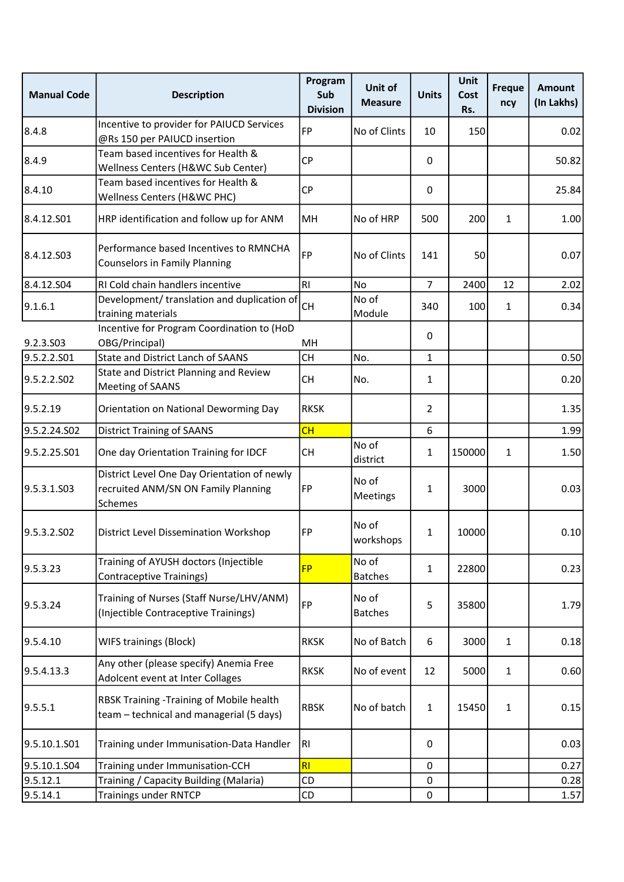| <b>Manual Code</b> | <b>Description</b>                                                                            | Program<br>Sub<br><b>Division</b> | Unit of<br><b>Measure</b> | <b>Units</b>   | Unit<br>Cost<br>Rs. | <b>Freque</b><br>ncy | <b>Amount</b><br>(In Lakhs) |
|--------------------|-----------------------------------------------------------------------------------------------|-----------------------------------|---------------------------|----------------|---------------------|----------------------|-----------------------------|
| 8.4.8              | Incentive to provider for PAIUCD Services<br>@Rs 150 per PAIUCD insertion                     | <b>FP</b>                         | No of Clints              | 10             | 150                 |                      | 0.02                        |
| 8.4.9              | Team based incentives for Health &<br>Wellness Centers (H&WC Sub Center)                      | <b>CP</b>                         |                           | 0              |                     |                      | 50.82                       |
| 8.4.10             | Team based incentives for Health &<br>Wellness Centers (H&WC PHC)                             | <b>CP</b>                         |                           | 0              |                     |                      | 25.84                       |
| 8.4.12.S01         | HRP identification and follow up for ANM                                                      | MH                                | No of HRP                 | 500            | 200                 | 1                    | 1.00                        |
| 8.4.12.503         | Performance based Incentives to RMNCHA<br><b>Counselors in Family Planning</b>                | <b>FP</b>                         | No of Clints              | 141            | 50                  |                      | 0.07                        |
| 8.4.12.504         | RI Cold chain handlers incentive                                                              | R <sub>l</sub>                    | <b>No</b>                 | $\overline{7}$ | 2400                | 12                   | 2.02                        |
| 9.1.6.1            | Development/ translation and duplication of<br>training materials                             | <b>CH</b>                         | No of<br>Module           | 340            | 100                 | $\mathbf{1}$         | 0.34                        |
| 9.2.3.S03          | Incentive for Program Coordination to (HoD<br>OBG/Principal)                                  | MH                                |                           | 0              |                     |                      |                             |
| 9.5.2.2.S01        | <b>State and District Lanch of SAANS</b>                                                      | <b>CH</b>                         | No.                       | 1              |                     |                      | 0.50                        |
| 9.5.2.2.S02        | State and District Planning and Review<br>Meeting of SAANS                                    | <b>CH</b>                         | No.                       | 1              |                     |                      | 0.20                        |
| 9.5.2.19           | Orientation on National Deworming Day                                                         | <b>RKSK</b>                       |                           | $\overline{2}$ |                     |                      | 1.35                        |
| 9.5.2.24.S02       | <b>District Training of SAANS</b>                                                             | СH                                |                           | 6              |                     |                      | 1.99                        |
| 9.5.2.25.S01       | One day Orientation Training for IDCF                                                         | <b>CH</b>                         | No of<br>district         | $\mathbf{1}$   | 150000              | $\mathbf{1}$         | 1.50                        |
| 9.5.3.1.S03        | District Level One Day Orientation of newly<br>recruited ANM/SN ON Family Planning<br>Schemes | FP                                | No of<br><b>Meetings</b>  | 1              | 3000                |                      | 0.03                        |
| 9.5.3.2.S02        | <b>District Level Dissemination Workshop</b>                                                  | FP                                | No of<br>workshops        | 1              | 10000               |                      | 0.10                        |
| 9.5.3.23           | Training of AYUSH doctors (Injectible<br><b>Contraceptive Trainings)</b>                      | <b>FP</b>                         | No of<br><b>Batches</b>   | $\mathbf{1}$   | 22800               |                      | 0.23                        |
| 9.5.3.24           | Training of Nurses (Staff Nurse/LHV/ANM)<br>(Injectible Contraceptive Trainings)              | FP                                | No of<br><b>Batches</b>   | 5              | 35800               |                      | 1.79                        |
| 9.5.4.10           | <b>WIFS trainings (Block)</b>                                                                 | <b>RKSK</b>                       | No of Batch               | 6              | 3000                | $\mathbf{1}$         | 0.18                        |
| 9.5.4.13.3         | Any other (please specify) Anemia Free<br>Adolcent event at Inter Collages                    | <b>RKSK</b>                       | No of event               | 12             | 5000                | $\mathbf{1}$         | 0.60                        |
| 9.5.5.1            | RBSK Training - Training of Mobile health<br>team - technical and managerial (5 days)         | <b>RBSK</b>                       | No of batch               | $\mathbf{1}$   | 15450               | $\mathbf{1}$         | 0.15                        |
| 9.5.10.1.S01       | Training under Immunisation-Data Handler                                                      | RI                                |                           | 0              |                     |                      | 0.03                        |
| 9.5.10.1.S04       | Training under Immunisation-CCH                                                               | RI                                |                           | 0              |                     |                      | 0.27                        |
| 9.5.12.1           | Training / Capacity Building (Malaria)                                                        | CD                                |                           | 0              |                     |                      | 0.28                        |
| 9.5.14.1           | <b>Trainings under RNTCP</b>                                                                  | CD                                |                           | 0              |                     |                      | 1.57                        |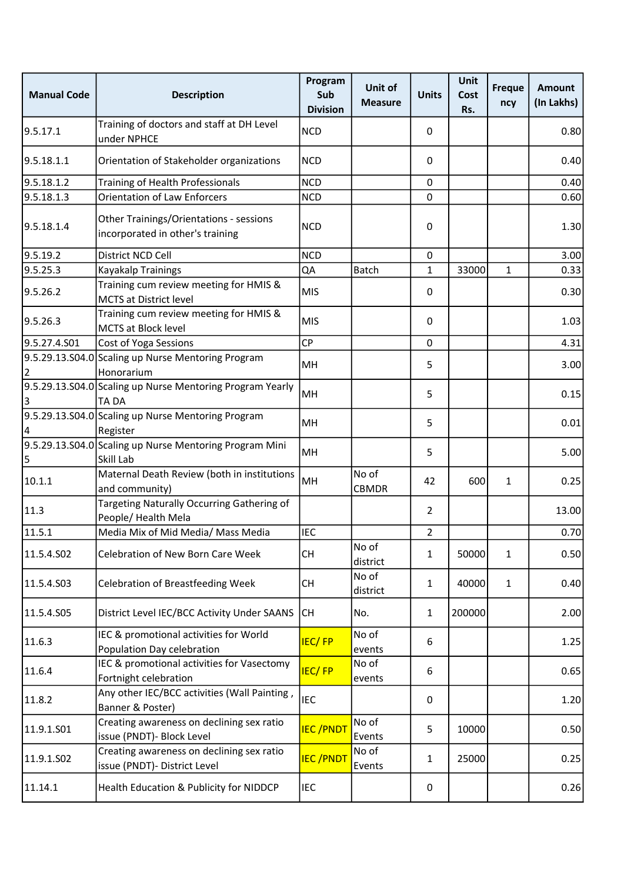| <b>Manual Code</b> | <b>Description</b>                                                          | Program<br>Sub<br><b>Division</b> | <b>Unit of</b><br><b>Measure</b> | <b>Units</b>   | <b>Unit</b><br>Cost<br>Rs. | <b>Freque</b><br>ncy | <b>Amount</b><br>(In Lakhs) |
|--------------------|-----------------------------------------------------------------------------|-----------------------------------|----------------------------------|----------------|----------------------------|----------------------|-----------------------------|
| 9.5.17.1           | Training of doctors and staff at DH Level<br>under NPHCE                    | <b>NCD</b>                        |                                  | 0              |                            |                      | 0.80                        |
| 9.5.18.1.1         | Orientation of Stakeholder organizations                                    | <b>NCD</b>                        |                                  | 0              |                            |                      | 0.40                        |
| 9.5.18.1.2         | Training of Health Professionals                                            | <b>NCD</b>                        |                                  | 0              |                            |                      | 0.40                        |
| 9.5.18.1.3         | <b>Orientation of Law Enforcers</b>                                         | <b>NCD</b>                        |                                  | 0              |                            |                      | 0.60                        |
| 9.5.18.1.4         | Other Trainings/Orientations - sessions<br>incorporated in other's training | <b>NCD</b>                        |                                  | 0              |                            |                      | 1.30                        |
| 9.5.19.2           | District NCD Cell                                                           | <b>NCD</b>                        |                                  | 0              |                            |                      | 3.00                        |
| 9.5.25.3           | Kayakalp Trainings                                                          | QA                                | <b>Batch</b>                     | $\mathbf{1}$   | 33000                      | $\mathbf{1}$         | 0.33                        |
| 9.5.26.2           | Training cum review meeting for HMIS &<br><b>MCTS at District level</b>     | <b>MIS</b>                        |                                  | 0              |                            |                      | 0.30                        |
| 9.5.26.3           | Training cum review meeting for HMIS &<br><b>MCTS at Block level</b>        | <b>MIS</b>                        |                                  | 0              |                            |                      | 1.03                        |
| 9.5.27.4.S01       | Cost of Yoga Sessions                                                       | <b>CP</b>                         |                                  | 0              |                            |                      | 4.31                        |
| 2                  | 9.5.29.13.S04.0 Scaling up Nurse Mentoring Program<br>Honorarium            | MH                                |                                  | 5              |                            |                      | 3.00                        |
| 3                  | 9.5.29.13.S04.0 Scaling up Nurse Mentoring Program Yearly<br><b>TADA</b>    | MH                                |                                  | 5              |                            |                      | 0.15                        |
|                    | 9.5.29.13.S04.0 Scaling up Nurse Mentoring Program<br>Register              | MH                                |                                  | 5              |                            |                      | 0.01                        |
| 5                  | 9.5.29.13.S04.0 Scaling up Nurse Mentoring Program Mini<br>Skill Lab        | MH                                |                                  | 5              |                            |                      | 5.00                        |
| 10.1.1             | Maternal Death Review (both in institutions<br>and community)               | MH                                | No of<br><b>CBMDR</b>            | 42             | 600                        | $\mathbf{1}$         | 0.25                        |
| 11.3               | Targeting Naturally Occurring Gathering of<br>People/ Health Mela           |                                   |                                  | $\overline{2}$ |                            |                      | 13.00                       |
| 11.5.1             | Media Mix of Mid Media/ Mass Media                                          | <b>IEC</b>                        |                                  | $\overline{2}$ |                            |                      | 0.70                        |
| 11.5.4.SO2         | <b>Celebration of New Born Care Week</b>                                    | <b>CH</b>                         | No of<br>district                | 1              | 50000                      | 1                    | 0.50                        |
| 11.5.4.S03         | <b>Celebration of Breastfeeding Week</b>                                    | <b>CH</b>                         | No of<br>district                | 1              | 40000                      | 1                    | 0.40                        |
| 11.5.4.S05         | District Level IEC/BCC Activity Under SAANS                                 | lсн                               | No.                              | $\mathbf{1}$   | 200000                     |                      | 2.00                        |
| 11.6.3             | IEC & promotional activities for World<br>Population Day celebration        | <b>IEC/FP</b>                     | No of<br>events                  | 6              |                            |                      | 1.25                        |
| 11.6.4             | IEC & promotional activities for Vasectomy<br>Fortnight celebration         | <b>IEC/FP</b>                     | No of<br>events                  | 6              |                            |                      | 0.65                        |
| 11.8.2             | Any other IEC/BCC activities (Wall Painting,<br>Banner & Poster)            | <b>IEC</b>                        |                                  | 0              |                            |                      | 1.20                        |
| 11.9.1.S01         | Creating awareness on declining sex ratio<br>issue (PNDT)- Block Level      | <b>IEC/PNDT</b>                   | No of<br>Events                  | 5              | 10000                      |                      | 0.50                        |
| 11.9.1.S02         | Creating awareness on declining sex ratio<br>issue (PNDT)- District Level   | <b>IEC/PNDT</b>                   | No of<br>Events                  | $\mathbf{1}$   | 25000                      |                      | 0.25                        |
| 11.14.1            | Health Education & Publicity for NIDDCP                                     | <b>IEC</b>                        |                                  | 0              |                            |                      | 0.26                        |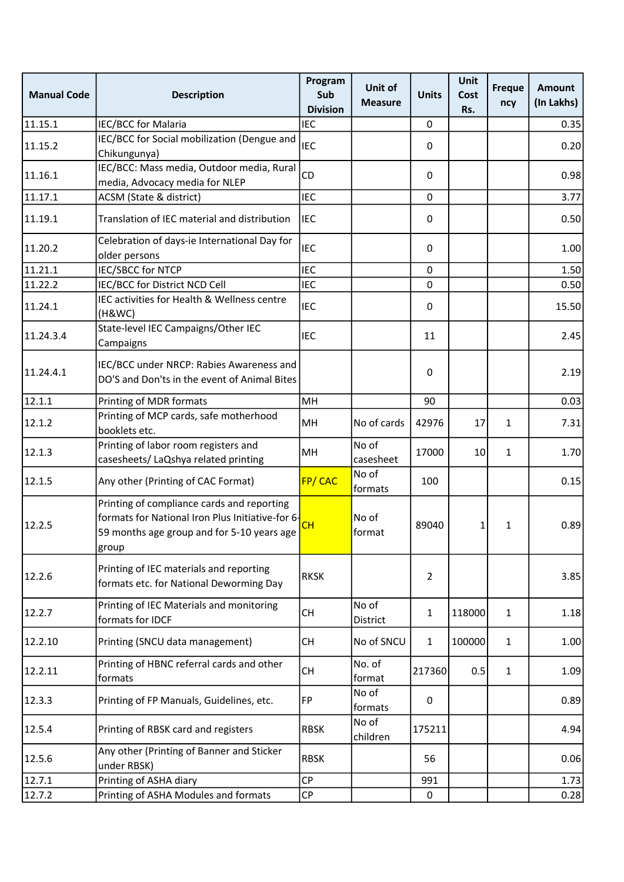| <b>Manual Code</b> | <b>Description</b>                                                                                                                                    | Program<br>Sub<br><b>Division</b> | Unit of<br><b>Measure</b> | <b>Units</b>   | Unit<br>Cost<br>Rs. | <b>Freque</b><br>ncy | <b>Amount</b><br>(In Lakhs) |
|--------------------|-------------------------------------------------------------------------------------------------------------------------------------------------------|-----------------------------------|---------------------------|----------------|---------------------|----------------------|-----------------------------|
| 11.15.1            | <b>IEC/BCC for Malaria</b>                                                                                                                            | <b>IEC</b>                        |                           | 0              |                     |                      | 0.35                        |
| 11.15.2            | IEC/BCC for Social mobilization (Dengue and<br>Chikungunya)                                                                                           | <b>IEC</b>                        |                           | 0              |                     |                      | 0.20                        |
| 11.16.1            | IEC/BCC: Mass media, Outdoor media, Rural<br>media, Advocacy media for NLEP                                                                           | CD                                |                           | 0              |                     |                      | 0.98                        |
| 11.17.1            | ACSM (State & district)                                                                                                                               | <b>IEC</b>                        |                           | 0              |                     |                      | 3.77                        |
| 11.19.1            | Translation of IEC material and distribution                                                                                                          | <b>IEC</b>                        |                           | 0              |                     |                      | 0.50                        |
| 11.20.2            | Celebration of days-ie International Day for<br>older persons                                                                                         | <b>IEC</b>                        |                           | 0              |                     |                      | 1.00                        |
| 11.21.1            | <b>IEC/SBCC for NTCP</b>                                                                                                                              | <b>IEC</b>                        |                           | $\pmb{0}$      |                     |                      | 1.50                        |
| 11.22.2            | IEC/BCC for District NCD Cell                                                                                                                         | <b>IEC</b>                        |                           | 0              |                     |                      | 0.50                        |
| 11.24.1            | IEC activities for Health & Wellness centre<br>(H&WC)                                                                                                 | <b>IEC</b>                        |                           | 0              |                     |                      | 15.50                       |
| 11.24.3.4          | State-level IEC Campaigns/Other IEC<br>Campaigns                                                                                                      | <b>IEC</b>                        |                           | 11             |                     |                      | 2.45                        |
| 11.24.4.1          | IEC/BCC under NRCP: Rabies Awareness and<br>DO'S and Don'ts in the event of Animal Bites                                                              |                                   |                           | 0              |                     |                      | 2.19                        |
| 12.1.1             | Printing of MDR formats                                                                                                                               | MH                                |                           | 90             |                     |                      | 0.03                        |
| 12.1.2             | Printing of MCP cards, safe motherhood<br>booklets etc.                                                                                               | MH                                | No of cards               | 42976          | 17                  | $\mathbf{1}$         | 7.31                        |
| 12.1.3             | Printing of labor room registers and<br>casesheets/ LaQshya related printing                                                                          | MH                                | No of<br>casesheet        | 17000          | 10                  | $\mathbf{1}$         | 1.70                        |
| 12.1.5             | Any other (Printing of CAC Format)                                                                                                                    | <b>FP/CAC</b>                     | No of<br>formats          | 100            |                     |                      | 0.15                        |
| 12.2.5             | Printing of compliance cards and reporting<br>formats for National Iron Plus Initiative-for 6-<br>59 months age group and for 5-10 years age<br>group | CН                                | No of<br>format           | 89040          | 1                   | 1                    | 0.89                        |
| 12.2.6             | Printing of IEC materials and reporting<br>formats etc. for National Deworming Day                                                                    | <b>RKSK</b>                       |                           | $\overline{2}$ |                     |                      | 3.85                        |
| 12.2.7             | Printing of IEC Materials and monitoring<br>formats for IDCF                                                                                          | <b>CH</b>                         | No of<br>District         | $\mathbf{1}$   | 118000              | $\mathbf{1}$         | 1.18                        |
| 12.2.10            | Printing (SNCU data management)                                                                                                                       | CH                                | No of SNCU                | $\mathbf{1}$   | 100000              | $\mathbf{1}$         | 1.00                        |
| 12.2.11            | Printing of HBNC referral cards and other<br>formats                                                                                                  | <b>CH</b>                         | No. of<br>format          | 217360         | 0.5                 | $\mathbf{1}$         | 1.09                        |
| 12.3.3             | Printing of FP Manuals, Guidelines, etc.                                                                                                              | FP                                | No of<br>formats          | 0              |                     |                      | 0.89                        |
| 12.5.4             | Printing of RBSK card and registers                                                                                                                   | <b>RBSK</b>                       | No of<br>children         | 175211         |                     |                      | 4.94                        |
| 12.5.6             | Any other (Printing of Banner and Sticker<br>under RBSK)                                                                                              | <b>RBSK</b>                       |                           | 56             |                     |                      | 0.06                        |
| 12.7.1             | Printing of ASHA diary                                                                                                                                | <b>CP</b>                         |                           | 991            |                     |                      | 1.73                        |
| 12.7.2             | Printing of ASHA Modules and formats                                                                                                                  | СP                                |                           | 0              |                     |                      | 0.28                        |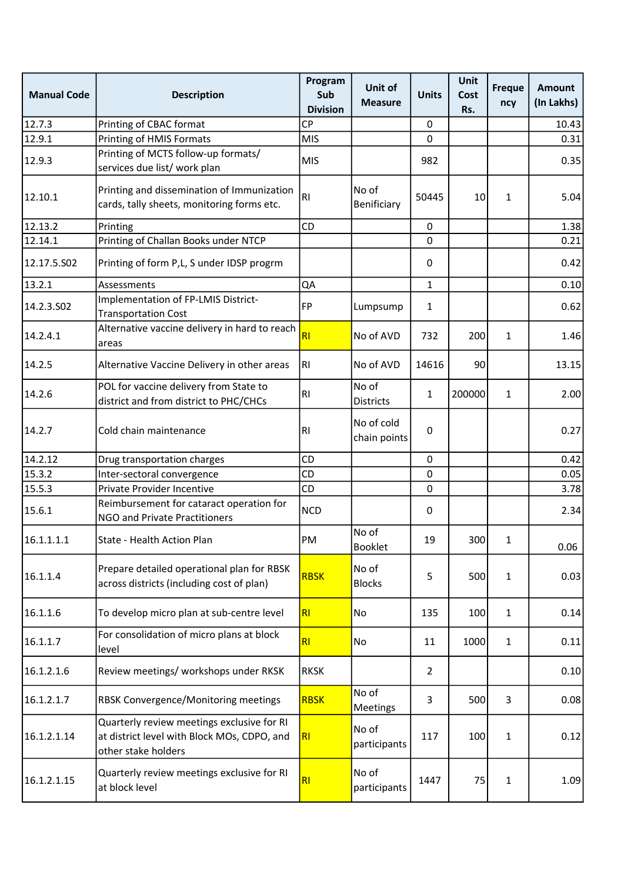| <b>Manual Code</b> | <b>Description</b>                                                                                               | Program<br>Sub<br><b>Division</b> | Unit of<br><b>Measure</b>  | <b>Units</b>   | <b>Unit</b><br>Cost<br>Rs. | <b>Freque</b><br>ncy | <b>Amount</b><br>(In Lakhs) |
|--------------------|------------------------------------------------------------------------------------------------------------------|-----------------------------------|----------------------------|----------------|----------------------------|----------------------|-----------------------------|
| 12.7.3             | Printing of CBAC format                                                                                          | <b>CP</b>                         |                            | 0              |                            |                      | 10.43                       |
| 12.9.1             | Printing of HMIS Formats                                                                                         | <b>MIS</b>                        |                            | 0              |                            |                      | 0.31                        |
| 12.9.3             | Printing of MCTS follow-up formats/<br>services due list/ work plan                                              | <b>MIS</b>                        |                            | 982            |                            |                      | 0.35                        |
| 12.10.1            | Printing and dissemination of Immunization<br>cards, tally sheets, monitoring forms etc.                         | R <sub>l</sub>                    | No of<br>Benificiary       | 50445          | 10                         | 1                    | 5.04                        |
| 12.13.2            | Printing                                                                                                         | CD                                |                            | 0              |                            |                      | 1.38                        |
| 12.14.1            | Printing of Challan Books under NTCP                                                                             |                                   |                            | 0              |                            |                      | 0.21                        |
| 12.17.5.502        | Printing of form P,L, S under IDSP progrm                                                                        |                                   |                            | 0              |                            |                      | 0.42                        |
| 13.2.1             | Assessments                                                                                                      | QA                                |                            | $\mathbf{1}$   |                            |                      | 0.10                        |
| 14.2.3.502         | Implementation of FP-LMIS District-<br><b>Transportation Cost</b>                                                | <b>FP</b>                         | Lumpsump                   | 1              |                            |                      | 0.62                        |
| 14.2.4.1           | Alternative vaccine delivery in hard to reach<br>areas                                                           | RI                                | No of AVD                  | 732            | 200                        | $\mathbf{1}$         | 1.46                        |
| 14.2.5             | Alternative Vaccine Delivery in other areas                                                                      | RI.                               | No of AVD                  | 14616          | 90                         |                      | 13.15                       |
| 14.2.6             | POL for vaccine delivery from State to<br>district and from district to PHC/CHCs                                 | R <sub>l</sub>                    | No of<br><b>Districts</b>  | $\mathbf{1}$   | 200000                     | $\mathbf{1}$         | 2.00                        |
| 14.2.7             | Cold chain maintenance                                                                                           | RI                                | No of cold<br>chain points | 0              |                            |                      | 0.27                        |
| 14.2.12            | Drug transportation charges                                                                                      | CD                                |                            | 0              |                            |                      | 0.42                        |
| 15.3.2             | Inter-sectoral convergence                                                                                       | CD                                |                            | 0              |                            |                      | 0.05                        |
| 15.5.3             | Private Provider Incentive                                                                                       | CD                                |                            | 0              |                            |                      | 3.78                        |
| 15.6.1             | Reimbursement for cataract operation for<br>NGO and Private Practitioners                                        | <b>NCD</b>                        |                            | 0              |                            |                      | 2.34                        |
| 16.1.1.1.1         | State - Health Action Plan                                                                                       | PM                                | No of<br><b>Booklet</b>    | 19             | 300                        | 1                    | 0.06                        |
| 16.1.1.4           | Prepare detailed operational plan for RBSK<br>across districts (including cost of plan)                          | <b>RBSK</b>                       | No of<br><b>Blocks</b>     | 5              | 500                        | $\mathbf{1}$         | 0.03                        |
| 16.1.1.6           | To develop micro plan at sub-centre level                                                                        | RI                                | No                         | 135            | 100                        | 1                    | 0.14                        |
| 16.1.1.7           | For consolidation of micro plans at block<br>level                                                               | RI                                | No                         | 11             | 1000                       | $\mathbf{1}$         | 0.11                        |
| 16.1.2.1.6         | Review meetings/ workshops under RKSK                                                                            | <b>RKSK</b>                       |                            | $\overline{2}$ |                            |                      | 0.10                        |
| 16.1.2.1.7         | RBSK Convergence/Monitoring meetings                                                                             | <b>RBSK</b>                       | No of<br><b>Meetings</b>   | 3              | 500                        | 3                    | 0.08                        |
| 16.1.2.1.14        | Quarterly review meetings exclusive for RI<br>at district level with Block MOs, CDPO, and<br>other stake holders | R <sub>l</sub>                    | No of<br>participants      | 117            | 100                        | $\mathbf{1}$         | 0.12                        |
| 16.1.2.1.15        | Quarterly review meetings exclusive for RI<br>at block level                                                     | R <sub>l</sub>                    | No of<br>participants      | 1447           | 75                         | $\mathbf{1}$         | 1.09                        |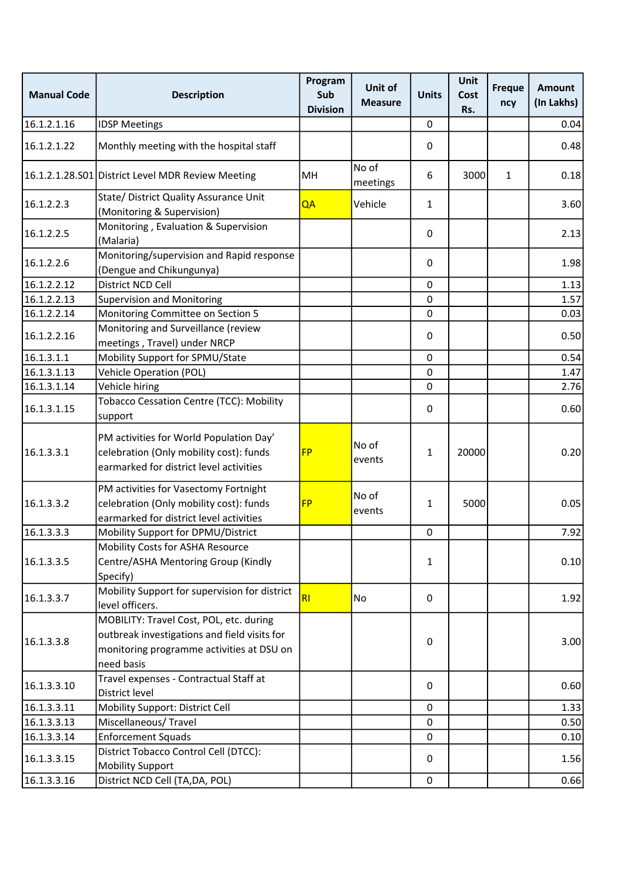| <b>Manual Code</b> | <b>Description</b>                                                                                                                                 | Program<br>Sub<br><b>Division</b> | Unit of<br><b>Measure</b> | <b>Units</b> | <b>Unit</b><br>Cost<br>Rs. | <b>Freque</b><br>ncy | <b>Amount</b><br>(In Lakhs) |
|--------------------|----------------------------------------------------------------------------------------------------------------------------------------------------|-----------------------------------|---------------------------|--------------|----------------------------|----------------------|-----------------------------|
| 16.1.2.1.16        | <b>IDSP Meetings</b>                                                                                                                               |                                   |                           | $\pmb{0}$    |                            |                      | 0.04                        |
| 16.1.2.1.22        | Monthly meeting with the hospital staff                                                                                                            |                                   |                           | 0            |                            |                      | 0.48                        |
|                    | 16.1.2.1.28.S01 District Level MDR Review Meeting                                                                                                  | MH                                | No of<br>meetings         | 6            | 3000                       | $\mathbf{1}$         | 0.18                        |
| 16.1.2.2.3         | State/ District Quality Assurance Unit<br>(Monitoring & Supervision)                                                                               | QA                                | Vehicle                   | $\mathbf{1}$ |                            |                      | 3.60                        |
| 16.1.2.2.5         | Monitoring, Evaluation & Supervision<br>(Malaria)                                                                                                  |                                   |                           | 0            |                            |                      | 2.13                        |
| 16.1.2.2.6         | Monitoring/supervision and Rapid response<br>(Dengue and Chikungunya)                                                                              |                                   |                           | 0            |                            |                      | 1.98                        |
| 16.1.2.2.12        | District NCD Cell                                                                                                                                  |                                   |                           | 0            |                            |                      | 1.13                        |
| 16.1.2.2.13        | <b>Supervision and Monitoring</b>                                                                                                                  |                                   |                           | 0            |                            |                      | 1.57                        |
| 16.1.2.2.14        | Monitoring Committee on Section 5                                                                                                                  |                                   |                           | 0            |                            |                      | 0.03                        |
| 16.1.2.2.16        | Monitoring and Surveillance (review<br>meetings, Travel) under NRCP                                                                                |                                   |                           | 0            |                            |                      | 0.50                        |
| 16.1.3.1.1         | Mobility Support for SPMU/State                                                                                                                    |                                   |                           | $\mathbf 0$  |                            |                      | 0.54                        |
| 16.1.3.1.13        | <b>Vehicle Operation (POL)</b>                                                                                                                     |                                   |                           | 0            |                            |                      | 1.47                        |
| 16.1.3.1.14        | Vehicle hiring                                                                                                                                     |                                   |                           | 0            |                            |                      | 2.76                        |
| 16.1.3.1.15        | Tobacco Cessation Centre (TCC): Mobility<br>support                                                                                                |                                   |                           | 0            |                            |                      | 0.60                        |
| 16.1.3.3.1         | PM activities for World Population Day'<br>celebration (Only mobility cost): funds<br>earmarked for district level activities                      | <b>FP</b>                         | No of<br>events           | 1            | 20000                      |                      | 0.20                        |
| 16.1.3.3.2         | PM activities for Vasectomy Fortnight<br>celebration (Only mobility cost): funds<br>earmarked for district level activities                        | <b>FP</b>                         | No of<br>events           | $\mathbf{1}$ | 5000                       |                      | 0.05                        |
| 16.1.3.3.3         | Mobility Support for DPMU/District                                                                                                                 |                                   |                           | $\pmb{0}$    |                            |                      | 7.92                        |
| 16.1.3.3.5         | Mobility Costs for ASHA Resource<br>Centre/ASHA Mentoring Group (Kindly<br>Specify)                                                                |                                   |                           | 1            |                            |                      | 0.10                        |
| 16.1.3.3.7         | Mobility Support for supervision for district<br>level officers.                                                                                   | RI                                | No                        | 0            |                            |                      | 1.92                        |
| 16.1.3.3.8         | MOBILITY: Travel Cost, POL, etc. during<br>outbreak investigations and field visits for<br>monitoring programme activities at DSU on<br>need basis |                                   |                           | 0            |                            |                      | 3.00                        |
| 16.1.3.3.10        | Travel expenses - Contractual Staff at<br>District level                                                                                           |                                   |                           | 0            |                            |                      | 0.60                        |
| 16.1.3.3.11        | Mobility Support: District Cell                                                                                                                    |                                   |                           | 0            |                            |                      | 1.33                        |
| 16.1.3.3.13        | Miscellaneous/Travel                                                                                                                               |                                   |                           | 0            |                            |                      | 0.50                        |
| 16.1.3.3.14        | <b>Enforcement Squads</b>                                                                                                                          |                                   |                           | 0            |                            |                      | 0.10                        |
| 16.1.3.3.15        | District Tobacco Control Cell (DTCC):<br><b>Mobility Support</b>                                                                                   |                                   |                           | 0            |                            |                      | 1.56                        |
| 16.1.3.3.16        | District NCD Cell (TA, DA, POL)                                                                                                                    |                                   |                           | $\mathbf 0$  |                            |                      | 0.66                        |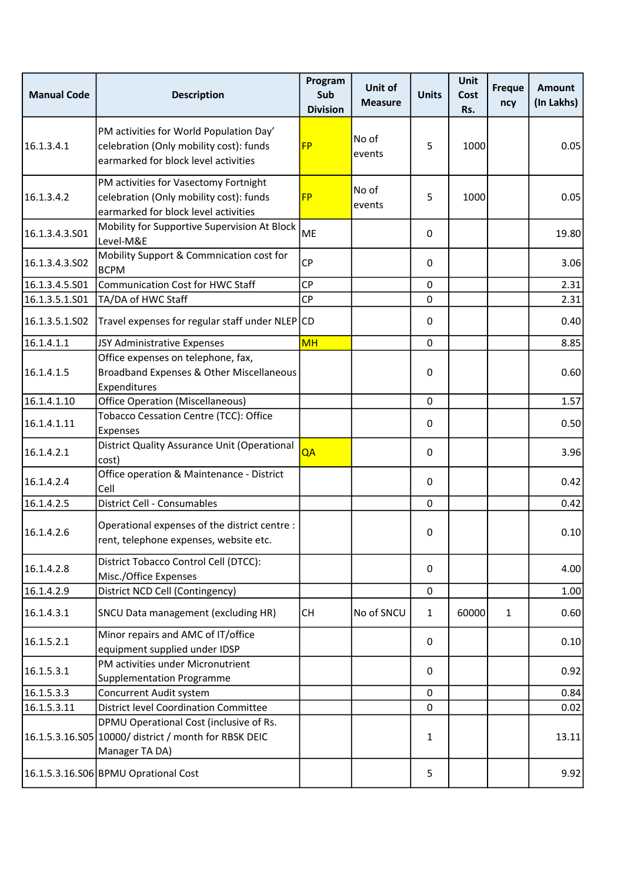| <b>Manual Code</b> | <b>Description</b>                                                                                                         | Program<br>Sub<br><b>Division</b> | Unit of<br><b>Measure</b> | <b>Units</b> | <b>Unit</b><br>Cost<br>Rs. | <b>Freque</b><br>ncy | <b>Amount</b><br>(In Lakhs) |
|--------------------|----------------------------------------------------------------------------------------------------------------------------|-----------------------------------|---------------------------|--------------|----------------------------|----------------------|-----------------------------|
| 16.1.3.4.1         | PM activities for World Population Day'<br>celebration (Only mobility cost): funds<br>earmarked for block level activities | <b>FP</b>                         | No of<br>events           | 5            | 1000                       |                      | 0.05                        |
| 16.1.3.4.2         | PM activities for Vasectomy Fortnight<br>celebration (Only mobility cost): funds<br>earmarked for block level activities   | <b>FP</b>                         | No of<br>events           | 5            | 1000                       |                      | 0.05                        |
| 16.1.3.4.3.501     | Mobility for Supportive Supervision At Block<br>Level-M&E                                                                  | <b>ME</b>                         |                           | 0            |                            |                      | 19.80                       |
| 16.1.3.4.3.S02     | Mobility Support & Commnication cost for<br><b>BCPM</b>                                                                    | CP                                |                           | 0            |                            |                      | 3.06                        |
| 16.1.3.4.5.S01     | Communication Cost for HWC Staff                                                                                           | <b>CP</b>                         |                           | 0            |                            |                      | 2.31                        |
| 16.1.3.5.1.S01     | TA/DA of HWC Staff                                                                                                         | <b>CP</b>                         |                           | 0            |                            |                      | 2.31                        |
| 16.1.3.5.1.502     | Travel expenses for regular staff under NLEP CD                                                                            |                                   |                           | 0            |                            |                      | 0.40                        |
| 16.1.4.1.1         | JSY Administrative Expenses                                                                                                | <b>MH</b>                         |                           | 0            |                            |                      | 8.85                        |
| 16.1.4.1.5         | Office expenses on telephone, fax,<br>Broadband Expenses & Other Miscellaneous<br>Expenditures                             |                                   |                           | 0            |                            |                      | 0.60                        |
| 16.1.4.1.10        | Office Operation (Miscellaneous)                                                                                           |                                   |                           | 0            |                            |                      | 1.57                        |
| 16.1.4.1.11        | Tobacco Cessation Centre (TCC): Office<br>Expenses                                                                         |                                   |                           | 0            |                            |                      | 0.50                        |
| 16.1.4.2.1         | District Quality Assurance Unit (Operational<br>cost)                                                                      | QA                                |                           | 0            |                            |                      | 3.96                        |
| 16.1.4.2.4         | Office operation & Maintenance - District<br>Cell                                                                          |                                   |                           | 0            |                            |                      | 0.42                        |
| 16.1.4.2.5         | District Cell - Consumables                                                                                                |                                   |                           | 0            |                            |                      | 0.42                        |
| 16.1.4.2.6         | Operational expenses of the district centre :<br>rent, telephone expenses, website etc.                                    |                                   |                           | 0            |                            |                      | 0.10                        |
| 16.1.4.2.8         | District Tobacco Control Cell (DTCC):<br>Misc./Office Expenses                                                             |                                   |                           | 0            |                            |                      | 4.00                        |
| 16.1.4.2.9         | District NCD Cell (Contingency)                                                                                            |                                   |                           | 0            |                            |                      | 1.00                        |
| 16.1.4.3.1         | SNCU Data management (excluding HR)                                                                                        | <b>CH</b>                         | No of SNCU                | $\mathbf{1}$ | 60000                      | 1                    | 0.60                        |
| 16.1.5.2.1         | Minor repairs and AMC of IT/office<br>equipment supplied under IDSP                                                        |                                   |                           | 0            |                            |                      | 0.10                        |
| 16.1.5.3.1         | PM activities under Micronutrient<br><b>Supplementation Programme</b>                                                      |                                   |                           | 0            |                            |                      | 0.92                        |
| 16.1.5.3.3         | Concurrent Audit system                                                                                                    |                                   |                           | 0            |                            |                      | 0.84                        |
| 16.1.5.3.11        | <b>District level Coordination Committee</b>                                                                               |                                   |                           | 0            |                            |                      | 0.02                        |
|                    | DPMU Operational Cost (inclusive of Rs.<br>16.1.5.3.16.S05 10000/ district / month for RBSK DEIC<br>Manager TA DA)         |                                   |                           | 1            |                            |                      | 13.11                       |
|                    | 16.1.5.3.16.S06 BPMU Oprational Cost                                                                                       |                                   |                           | 5            |                            |                      | 9.92                        |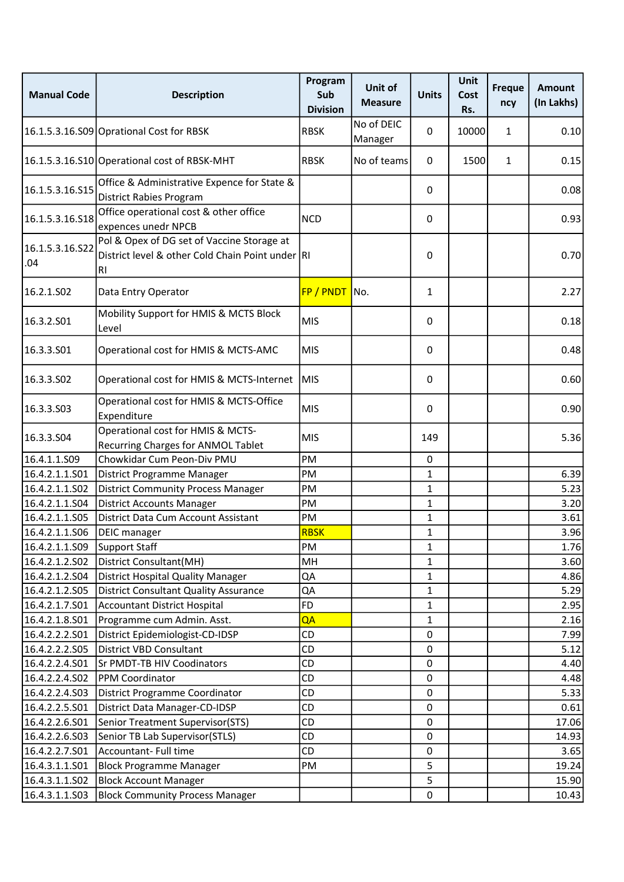| <b>Manual Code</b>     | <b>Description</b>                                                                                          | Program<br>Sub<br><b>Division</b> | Unit of<br><b>Measure</b> | <b>Units</b> | Unit<br>Cost<br>Rs. | <b>Freque</b><br>ncy | <b>Amount</b><br>(In Lakhs) |
|------------------------|-------------------------------------------------------------------------------------------------------------|-----------------------------------|---------------------------|--------------|---------------------|----------------------|-----------------------------|
|                        | 16.1.5.3.16.S09 Oprational Cost for RBSK                                                                    | <b>RBSK</b>                       | No of DEIC<br>Manager     | 0            | 10000               | 1                    | 0.10                        |
|                        | 16.1.5.3.16.S10 Operational cost of RBSK-MHT                                                                | <b>RBSK</b>                       | No of teams               | 0            | 1500                | 1                    | 0.15                        |
| 16.1.5.3.16.S15        | Office & Administrative Expence for State &<br><b>District Rabies Program</b>                               |                                   |                           | 0            |                     |                      | 0.08                        |
| 16.1.5.3.16.S18        | Office operational cost & other office<br>expences unedr NPCB                                               | <b>NCD</b>                        |                           | 0            |                     |                      | 0.93                        |
| 16.1.5.3.16.S22<br>.04 | Pol & Opex of DG set of Vaccine Storage at<br>District level & other Cold Chain Point under RI<br><b>RI</b> |                                   |                           | 0            |                     |                      | 0.70                        |
| 16.2.1.SO2             | Data Entry Operator                                                                                         | FP / PNDT                         | No.                       | $\mathbf{1}$ |                     |                      | 2.27                        |
| 16.3.2.501             | Mobility Support for HMIS & MCTS Block<br>Level                                                             | <b>MIS</b>                        |                           | 0            |                     |                      | 0.18                        |
| 16.3.3.S01             | Operational cost for HMIS & MCTS-AMC                                                                        | <b>MIS</b>                        |                           | 0            |                     |                      | 0.48                        |
| 16.3.3.502             | Operational cost for HMIS & MCTS-Internet                                                                   | MIS                               |                           | 0            |                     |                      | 0.60                        |
| 16.3.3.S03             | Operational cost for HMIS & MCTS-Office<br>Expenditure                                                      | <b>MIS</b>                        |                           | 0            |                     |                      | 0.90                        |
| 16.3.3.504             | Operational cost for HMIS & MCTS-<br>Recurring Charges for ANMOL Tablet                                     | <b>MIS</b>                        |                           | 149          |                     |                      | 5.36                        |
| 16.4.1.1.S09           | Chowkidar Cum Peon-Div PMU                                                                                  | PM                                |                           | 0            |                     |                      |                             |
| 16.4.2.1.1.501         | District Programme Manager                                                                                  | PM                                |                           | 1            |                     |                      | 6.39                        |
| 16.4.2.1.1.S02         | <b>District Community Process Manager</b>                                                                   | PM                                |                           | $\mathbf{1}$ |                     |                      | 5.23                        |
| 16.4.2.1.1.S04         | <b>District Accounts Manager</b>                                                                            | PM                                |                           | $\mathbf{1}$ |                     |                      | 3.20                        |
| 16.4.2.1.1.S05         | District Data Cum Account Assistant                                                                         | PM                                |                           | 1            |                     |                      | 3.61                        |
| 16.4.2.1.1.S06         | <b>DEIC</b> manager                                                                                         | <b>RBSK</b>                       |                           | $\mathbf{1}$ |                     |                      | 3.96                        |
| 16.4.2.1.1.S09         | Support Staff                                                                                               | PM                                |                           | 1            |                     |                      | 1.76                        |
| 16.4.2.1.2.S02         | District Consultant(MH)                                                                                     | MH                                |                           | $\mathbf{1}$ |                     |                      | 3.60                        |
| 16.4.2.1.2.S04         | District Hospital Quality Manager                                                                           | QA                                |                           | 1            |                     |                      | 4.86                        |
| 16.4.2.1.2.S05         | <b>District Consultant Quality Assurance</b>                                                                | QA                                |                           | $\mathbf{1}$ |                     |                      | 5.29                        |
| 16.4.2.1.7.S01         | Accountant District Hospital                                                                                | <b>FD</b>                         |                           | $\mathbf{1}$ |                     |                      | 2.95                        |
| 16.4.2.1.8.S01         | Programme cum Admin. Asst.                                                                                  | QA                                |                           | 1            |                     |                      | 2.16                        |
| 16.4.2.2.2.S01         | District Epidemiologist-CD-IDSP                                                                             | CD                                |                           | 0            |                     |                      | 7.99                        |
| 16.4.2.2.2.S05         | <b>District VBD Consultant</b>                                                                              | <b>CD</b>                         |                           | 0            |                     |                      | 5.12                        |
| 16.4.2.2.4.S01         | Sr PMDT-TB HIV Coodinators                                                                                  | <b>CD</b>                         |                           | 0            |                     |                      | 4.40                        |
| 16.4.2.2.4.S02         | PPM Coordinator                                                                                             | CD                                |                           | 0            |                     |                      | 4.48                        |
| 16.4.2.2.4.S03         | District Programme Coordinator                                                                              | CD                                |                           | 0            |                     |                      | 5.33                        |
| 16.4.2.2.5.S01         | District Data Manager-CD-IDSP                                                                               | <b>CD</b>                         |                           | 0            |                     |                      | 0.61                        |
| 16.4.2.2.6.S01         | Senior Treatment Supervisor(STS)                                                                            | CD                                |                           | 0            |                     |                      | 17.06                       |
| 16.4.2.2.6.S03         | Senior TB Lab Supervisor(STLS)                                                                              | CD                                |                           | 0            |                     |                      | 14.93                       |
| 16.4.2.2.7.S01         | Accountant- Full time                                                                                       | <b>CD</b>                         |                           | 0            |                     |                      | 3.65                        |
| 16.4.3.1.1.S01         | <b>Block Programme Manager</b>                                                                              | PM                                |                           | 5            |                     |                      | 19.24                       |
| 16.4.3.1.1.S02         | <b>Block Account Manager</b>                                                                                |                                   |                           | 5            |                     |                      | 15.90                       |
| 16.4.3.1.1.503         | <b>Block Community Process Manager</b>                                                                      |                                   |                           | 0            |                     |                      | 10.43                       |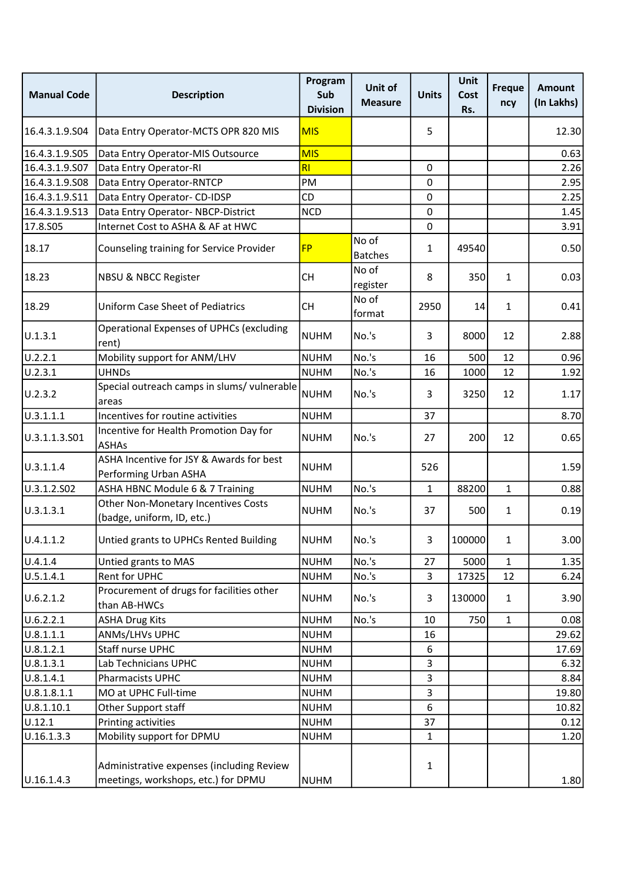| <b>Manual Code</b> | <b>Description</b>                                                               | Program<br>Sub<br><b>Division</b> | Unit of<br><b>Measure</b> | <b>Units</b> | <b>Unit</b><br>Cost<br>Rs. | <b>Freque</b><br>ncy | <b>Amount</b><br>(In Lakhs) |
|--------------------|----------------------------------------------------------------------------------|-----------------------------------|---------------------------|--------------|----------------------------|----------------------|-----------------------------|
| 16.4.3.1.9.504     | Data Entry Operator-MCTS OPR 820 MIS                                             | <b>MIS</b>                        |                           | 5            |                            |                      | 12.30                       |
| 16.4.3.1.9.S05     | Data Entry Operator-MIS Outsource                                                | <b>MIS</b>                        |                           |              |                            |                      | 0.63                        |
| 16.4.3.1.9.S07     | Data Entry Operator-RI                                                           | RI                                |                           | 0            |                            |                      | 2.26                        |
| 16.4.3.1.9.S08     | Data Entry Operator-RNTCP                                                        | PM                                |                           | 0            |                            |                      | 2.95                        |
| 16.4.3.1.9.S11     | Data Entry Operator- CD-IDSP                                                     | <b>CD</b>                         |                           | 0            |                            |                      | 2.25                        |
| 16.4.3.1.9.513     | Data Entry Operator-NBCP-District                                                | <b>NCD</b>                        |                           | 0            |                            |                      | 1.45                        |
| 17.8.S05           | Internet Cost to ASHA & AF at HWC                                                |                                   |                           | 0            |                            |                      | 3.91                        |
| 18.17              | Counseling training for Service Provider                                         | <b>FP</b>                         | No of<br><b>Batches</b>   | $\mathbf{1}$ | 49540                      |                      | 0.50                        |
| 18.23              | NBSU & NBCC Register                                                             | <b>CH</b>                         | No of<br>register         | 8            | 350                        | $\mathbf{1}$         | 0.03                        |
| 18.29              | <b>Uniform Case Sheet of Pediatrics</b>                                          | <b>CH</b>                         | No of<br>format           | 2950         | 14                         | $\mathbf{1}$         | 0.41                        |
| U.1.3.1            | <b>Operational Expenses of UPHCs (excluding</b><br>rent)                         | <b>NUHM</b>                       | No.'s                     | 3            | 8000                       | 12                   | 2.88                        |
| U.2.2.1            | Mobility support for ANM/LHV                                                     | <b>NUHM</b>                       | No.'s                     | 16           | 500                        | 12                   | 0.96                        |
| U.2.3.1            | <b>UHNDs</b>                                                                     | <b>NUHM</b>                       | No.'s                     | 16           | 1000                       | 12                   | 1.92                        |
| U.2.3.2            | Special outreach camps in slums/ vulnerable<br>areas                             | <b>NUHM</b>                       | No.'s                     | 3            | 3250                       | 12                   | 1.17                        |
| U.3.1.1.1          | Incentives for routine activities                                                | <b>NUHM</b>                       |                           | 37           |                            |                      | 8.70                        |
| U.3.1.1.3.S01      | Incentive for Health Promotion Day for<br><b>ASHAs</b>                           | <b>NUHM</b>                       | No.'s                     | 27           | 200                        | 12                   | 0.65                        |
| U.3.1.1.4          | ASHA Incentive for JSY & Awards for best<br>Performing Urban ASHA                | <b>NUHM</b>                       |                           | 526          |                            |                      | 1.59                        |
| U.3.1.2.S02        | ASHA HBNC Module 6 & 7 Training                                                  | <b>NUHM</b>                       | No.'s                     | $\mathbf{1}$ | 88200                      | $\mathbf{1}$         | 0.88                        |
| U.3.1.3.1          | <b>Other Non-Monetary Incentives Costs</b><br>(badge, uniform, ID, etc.)         | <b>NUHM</b>                       | No.'s                     | 37           | 500                        | $\mathbf{1}$         | 0.19                        |
| U.4.1.1.2          | Untied grants to UPHCs Rented Building                                           | <b>NUHM</b>                       | No.'s                     | 3            | 100000                     | 1                    | 3.00                        |
| U.4.1.4            | Untied grants to MAS                                                             | <b>NUHM</b>                       | No.'s                     | 27           | 5000                       | $\mathbf{1}$         | 1.35                        |
| U.5.1.4.1          | Rent for UPHC                                                                    | <b>NUHM</b>                       | No.'s                     | 3            | 17325                      | 12                   | 6.24                        |
| U.6.2.1.2          | Procurement of drugs for facilities other<br>than AB-HWCs                        | <b>NUHM</b>                       | No.'s                     | 3            | 130000                     | $\mathbf{1}$         | 3.90                        |
| U.6.2.2.1          | <b>ASHA Drug Kits</b>                                                            | <b>NUHM</b>                       | No.'s                     | 10           | 750                        | $\mathbf{1}$         | 0.08                        |
| U.8.1.1.1          | ANMs/LHVs UPHC                                                                   | <b>NUHM</b>                       |                           | 16           |                            |                      | 29.62                       |
| U.8.1.2.1          | Staff nurse UPHC                                                                 | <b>NUHM</b>                       |                           | 6            |                            |                      | 17.69                       |
| U.8.1.3.1          | Lab Technicians UPHC                                                             | <b>NUHM</b>                       |                           | 3            |                            |                      | 6.32                        |
| U.8.1.4.1          | Pharmacists UPHC                                                                 | <b>NUHM</b>                       |                           | 3            |                            |                      | 8.84                        |
| U.8.1.8.1.1        | MO at UPHC Full-time                                                             | <b>NUHM</b>                       |                           | 3            |                            |                      | 19.80                       |
| U.8.1.10.1         | Other Support staff                                                              | <b>NUHM</b>                       |                           | 6            |                            |                      | 10.82                       |
| U.12.1             | Printing activities                                                              | <b>NUHM</b>                       |                           | 37           |                            |                      | 0.12                        |
| U.16.1.3.3         | Mobility support for DPMU                                                        | <b>NUHM</b>                       |                           | $\mathbf{1}$ |                            |                      | 1.20                        |
| U.16.1.4.3         | Administrative expenses (including Review<br>meetings, workshops, etc.) for DPMU | <b>NUHM</b>                       |                           | 1            |                            |                      | 1.80                        |